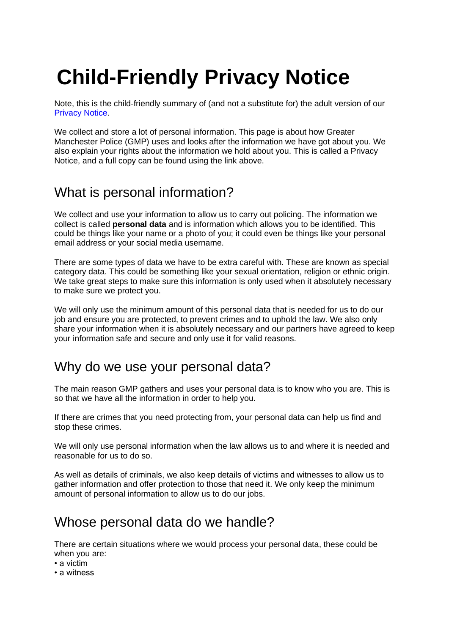# **Child-Friendly Privacy Notice**

Note, this is the child-friendly summary of (and not a substitute for) the adult version of our [Privacy Notice.](https://www.gmp.police.uk/hyg/fpngmp/privacy-notice/)

We collect and store a lot of personal information. This page is about how Greater Manchester Police (GMP) uses and looks after the information we have got about you. We also explain your rights about the information we hold about you. This is called a Privacy Notice, and a full copy can be found using the link above.

# What is personal information?

We collect and use your information to allow us to carry out policing. The information we collect is called **personal data** and is information which allows you to be identified. This could be things like your name or a photo of you; it could even be things like your personal email address or your social media username.

There are some types of data we have to be extra careful with. These are known as special category data. This could be something like your sexual orientation, religion or ethnic origin. We take great steps to make sure this information is only used when it absolutely necessary to make sure we protect you.

We will only use the minimum amount of this personal data that is needed for us to do our job and ensure you are protected, to prevent crimes and to uphold the law. We also only share your information when it is absolutely necessary and our partners have agreed to keep your information safe and secure and only use it for valid reasons.

# Why do we use your personal data?

The main reason GMP gathers and uses your personal data is to know who you are. This is so that we have all the information in order to help you.

If there are crimes that you need protecting from, your personal data can help us find and stop these crimes.

We will only use personal information when the law allows us to and where it is needed and reasonable for us to do so.

As well as details of criminals, we also keep details of victims and witnesses to allow us to gather information and offer protection to those that need it. We only keep the minimum amount of personal information to allow us to do our jobs.

## Whose personal data do we handle?

There are certain situations where we would process your personal data, these could be when you are:

- a victim
- a witness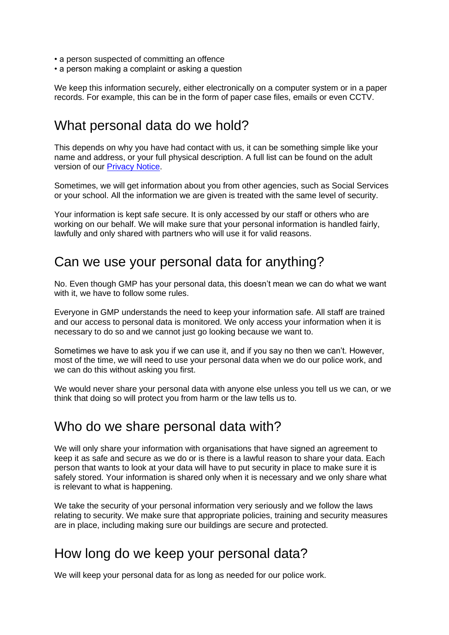- a person suspected of committing an offence
- a person making a complaint or asking a question

We keep this information securely, either electronically on a computer system or in a paper records. For example, this can be in the form of paper case files, emails or even CCTV.

## What personal data do we hold?

This depends on why you have had contact with us, it can be something simple like your name and address, or your full physical description. A full list can be found on the adult version of our [Privacy Notice.](https://www.gmp.police.uk/hyg/fpngmp/privacy-notice/)

Sometimes, we will get information about you from other agencies, such as Social Services or your school. All the information we are given is treated with the same level of security.

Your information is kept safe secure. It is only accessed by our staff or others who are working on our behalf. We will make sure that your personal information is handled fairly, lawfully and only shared with partners who will use it for valid reasons.

## Can we use your personal data for anything?

No. Even though GMP has your personal data, this doesn't mean we can do what we want with it, we have to follow some rules.

Everyone in GMP understands the need to keep your information safe. All staff are trained and our access to personal data is monitored. We only access your information when it is necessary to do so and we cannot just go looking because we want to.

Sometimes we have to ask you if we can use it, and if you say no then we can't. However, most of the time, we will need to use your personal data when we do our police work, and we can do this without asking you first.

We would never share your personal data with anyone else unless you tell us we can, or we think that doing so will protect you from harm or the law tells us to.

#### Who do we share personal data with?

We will only share your information with organisations that have signed an agreement to keep it as safe and secure as we do or is there is a lawful reason to share your data. Each person that wants to look at your data will have to put security in place to make sure it is safely stored. Your information is shared only when it is necessary and we only share what is relevant to what is happening.

We take the security of your personal information very seriously and we follow the laws relating to security. We make sure that appropriate policies, training and security measures are in place, including making sure our buildings are secure and protected.

## How long do we keep your personal data?

We will keep your personal data for as long as needed for our police work.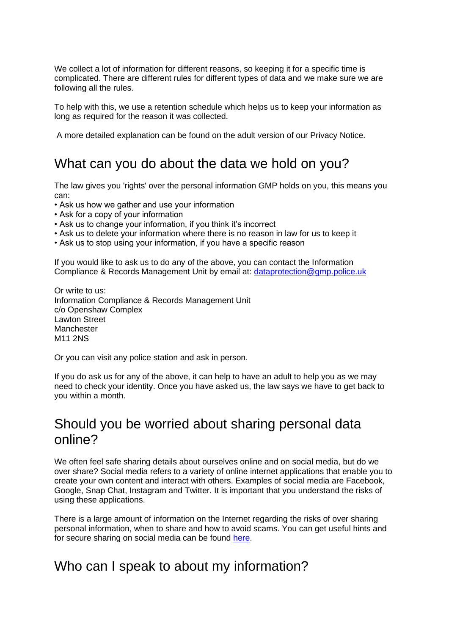We collect a lot of information for different reasons, so keeping it for a specific time is complicated. There are different rules for different types of data and we make sure we are following all the rules.

To help with this, we use a retention schedule which helps us to keep your information as long as required for the reason it was collected.

A more detailed explanation can be found on the adult version of our Privacy Notice.

## What can you do about the data we hold on you?

The law gives you 'rights' over the personal information GMP holds on you, this means you can:

- Ask us how we gather and use your information
- Ask for a copy of your information
- Ask us to change your information, if you think it's incorrect
- Ask us to delete your information where there is no reason in law for us to keep it
- Ask us to stop using your information, if you have a specific reason

If you would like to ask us to do any of the above, you can contact the Information Compliance & Records Management Unit by email at: [dataprotection@gmp.police.uk](mailto:dataprotection@gmp.police.uk)

Or write to us: Information Compliance & Records Management Unit c/o Openshaw Complex Lawton Street **Manchester** M11 2NS

Or you can visit any police station and ask in person.

If you do ask us for any of the above, it can help to have an adult to help you as we may need to check your identity. Once you have asked us, the law says we have to get back to you within a month.

## Should you be worried about sharing personal data online?

We often feel safe sharing details about ourselves online and on social media, but do we over share? Social media refers to a variety of online internet applications that enable you to create your own content and interact with others. Examples of social media are Facebook, Google, Snap Chat, Instagram and Twitter. It is important that you understand the risks of using these applications.

There is a large amount of information on the Internet regarding the risks of over sharing personal information, when to share and how to avoid scams. You can get useful hints and for secure sharing on social media can be found [here.](https://www.internetmatters.org/)

## Who can I speak to about my information?